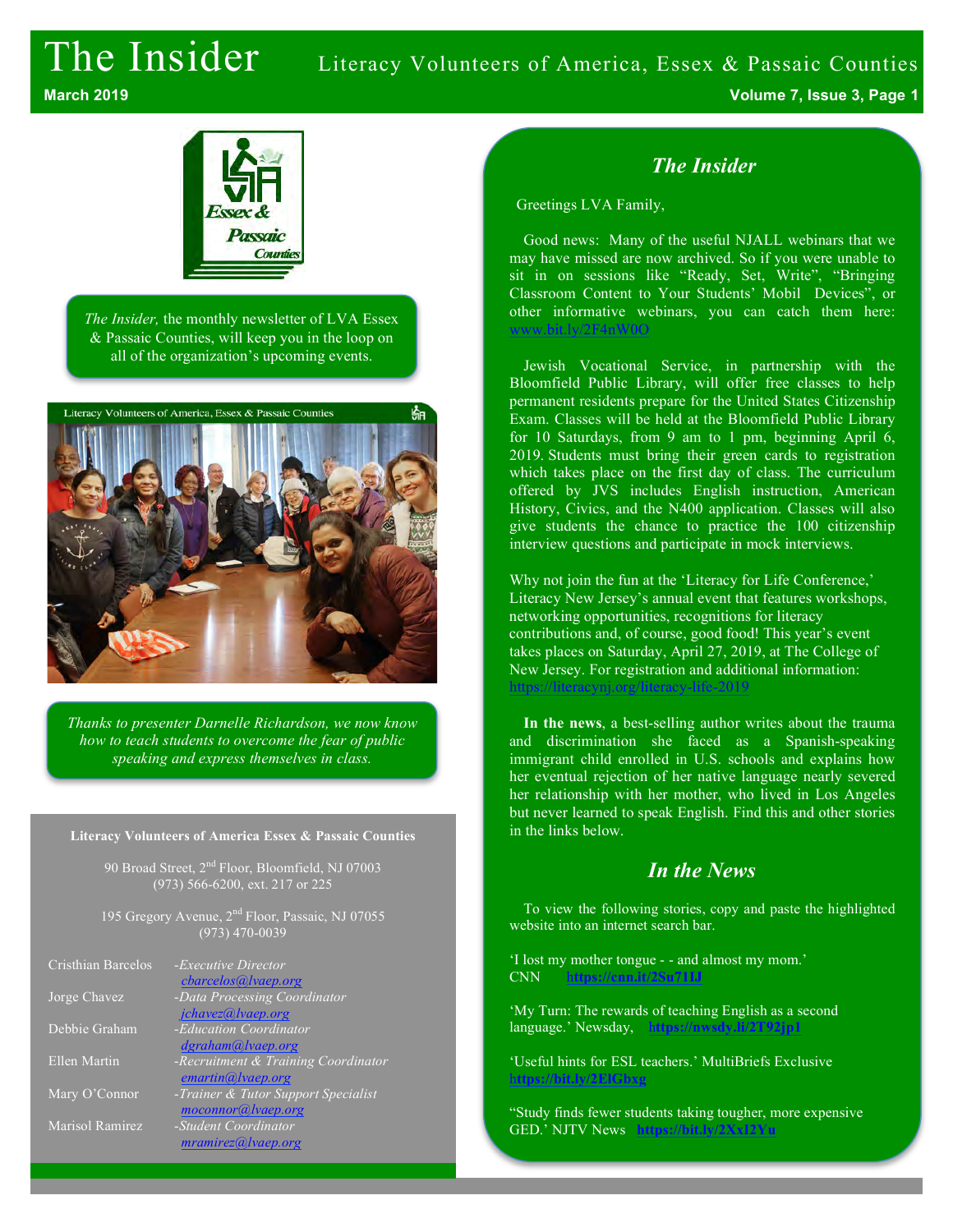# The Insider Literacy Volunteers of America, Essex & Passaic Counties **March 2019 Volume 7, Issue 3, Page 1**



*The Insider,* the monthly newsletter of LVA Essex & Passaic Counties, will keep you in the loop on all of the organization's upcoming events.



*Thanks to presenter Darnelle Richardson, we now know how to teach students to overcome the fear of public speaking and express themselves in class.*

#### **Literacy Volunteers of America Essex & Passaic Counties**

90 Broad Street, 2<sup>nd</sup> Floor, Bloomfield, NJ 07003 (973) 566-6200, ext. 217 or 225

195 Gregory Avenue, 2<sup>nd</sup> Floor, Passaic, NJ 07055 (973) 470-0039

| Cristhian Barcelos | - <i>Executive Director</i><br>cbarcelos@lvaep.org        |
|--------------------|-----------------------------------------------------------|
| Jorge Chavez       | -Data Processing Coordinator                              |
|                    | jchavez@lvaep.org                                         |
| Debbie Graham      | -Education Coordinator                                    |
|                    | dgraham@lvaep.org                                         |
| Ellen Martin       | -Recruitment & Training Coordinator                       |
|                    | emartin@lvaep.org                                         |
| Mary O'Connor      | -Trainer & Tutor Support Specialist<br>moconnor@lvaep.org |
| Marisol Ramirez    | $-Student$ Coordinator<br>mramirez@ vaep.org              |

#### *The Insider*

Greetings LVA Family,

Good news: Many of the useful NJALL webinars that we may have missed are now archived. So if you were unable to sit in on sessions like "Ready, Set, Write", "Bringing Classroom Content to Your Students' Mobil Devices", or other informative webinars, you can catch them here: www.bit.ly/2F4nW0O

Jewish Vocational Service, in partnership with the Bloomfield Public Library, will offer free classes to help permanent residents prepare for the United States Citizenship Exam. Classes will be held at the Bloomfield Public Library for 10 Saturdays, from 9 am to 1 pm, beginning April 6, 2019. Students must bring their green cards to registration which takes place on the first day of class. The curriculum offered by JVS includes English instruction, American History, Civics, and the N400 application. Classes will also give students the chance to practice the 100 citizenship interview questions and participate in mock interviews.

Why not join the fun at the 'Literacy for Life Conference,' Literacy New Jersey's annual event that features workshops, networking opportunities, recognitions for literacy contributions and, of course, good food! This year's event takes places on Saturday, April 27, 2019, at The College of New Jersey. For registration and additional information: https://literacynj.org/literacy-life-2019

**In the news**, a best-selling author writes about the trauma and discrimination she faced as a Spanish-speaking immigrant child enrolled in U.S. schools and explains how her eventual rejection of her native language nearly severed her relationship with her mother, who lived in Los Angeles but never learned to speak English. Find this and other stories in the links below.

#### *In the News*

To view the following stories, copy and paste the highlighted website into an internet search bar.

'I lost my mother tongue - - and almost my mom.' CNN h**ttps://cnn.it/2Su71IJ**

'My Turn: The rewards of teaching English as a second language.' Newsday, h**ttps://nwsdy.li/2T92jp1**

'Useful hints for ESL teachers.' MultiBriefs Exclusive h**ttps://bit.ly/2ElGbxg**

"Study finds fewer students taking tougher, more expensive GED.' NJTV News **https://bit.ly/2**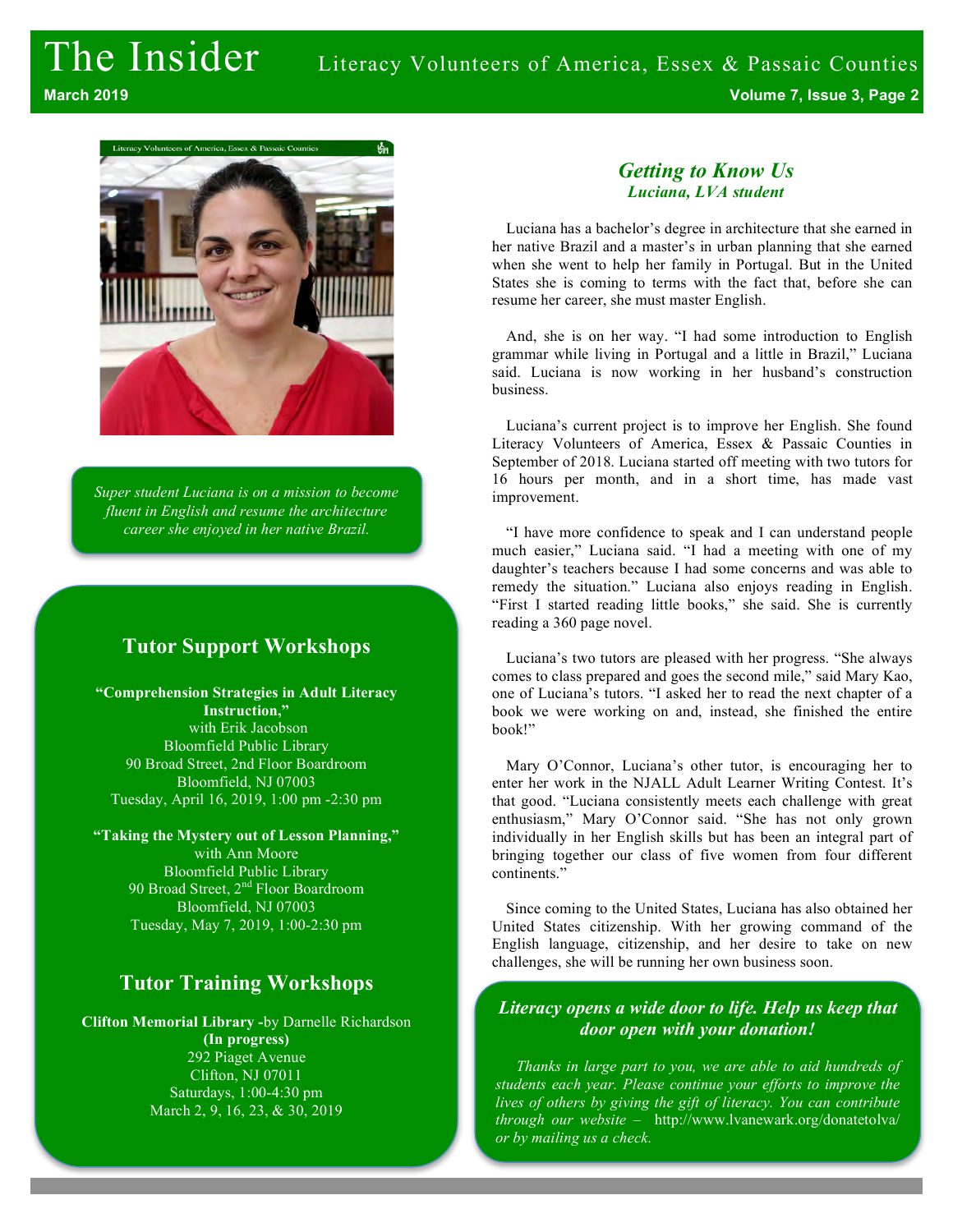

*Super student Luciana is on a mission to become fluent in English and resume the architecture career she enjoyed in her native Brazil.*

### **Tutor Support Workshops**

**"Comprehension Strategies in Adult Literacy Instruction,"** with Erik Jacobson Bloomfield Public Library 90 Broad Street, 2nd Floor Boardroom Bloomfield, NJ 07003 Tuesday, April 16, 2019, 1:00 pm -2:30 pm

**"Taking the Mystery out of Lesson Planning,"** with Ann Moore Bloomfield Public Library 90 Broad Street, 2<sup>nd</sup> Floor Boardroom Bloomfield, NJ 07003 Tuesday, May 7, 2019, 1:00-2:30 pm

### **Tutor Training Workshops**

**Clifton Memorial Library -**by Darnelle Richardson **(In progress)** 292 Piaget Avenue Clifton, NJ 07011 Saturdays, 1:00-4:30 pm March 2, 9, 16, 23, & 30, 2019

#### *Getting to Know Us Luciana, LVA student*

Luciana has a bachelor's degree in architecture that she earned in her native Brazil and a master's in urban planning that she earned when she went to help her family in Portugal. But in the United States she is coming to terms with the fact that, before she can resume her career, she must master English.

And, she is on her way. "I had some introduction to English grammar while living in Portugal and a little in Brazil," Luciana said. Luciana is now working in her husband's construction business.

Luciana's current project is to improve her English. She found Literacy Volunteers of America, Essex & Passaic Counties in September of 2018. Luciana started off meeting with two tutors for 16 hours per month, and in a short time, has made vast improvement.

"I have more confidence to speak and I can understand people much easier," Luciana said. "I had a meeting with one of my daughter's teachers because I had some concerns and was able to remedy the situation." Luciana also enjoys reading in English. "First I started reading little books," she said. She is currently reading a 360 page novel.

Luciana's two tutors are pleased with her progress. "She always comes to class prepared and goes the second mile," said Mary Kao, one of Luciana's tutors. "I asked her to read the next chapter of a book we were working on and, instead, she finished the entire book!"

Mary O'Connor, Luciana's other tutor, is encouraging her to enter her work in the NJALL Adult Learner Writing Contest. It's that good. "Luciana consistently meets each challenge with great enthusiasm," Mary O'Connor said. "She has not only grown individually in her English skills but has been an integral part of bringing together our class of five women from four different continents."

Since coming to the United States, Luciana has also obtained her United States citizenship. With her growing command of the English language, citizenship, and her desire to take on new challenges, she will be running her own business soon.

#### *Literacy opens a wide door to life. Help us keep that door open with your donation!*

*Thanks in large part to you, we are able to aid hundreds of students each year. Please continue your efforts to improve the lives of others by giving the gift of literacy. You can contribute through our website* – http://www.lvanewark.org/donatetolva/ *or by mailing us a check.*